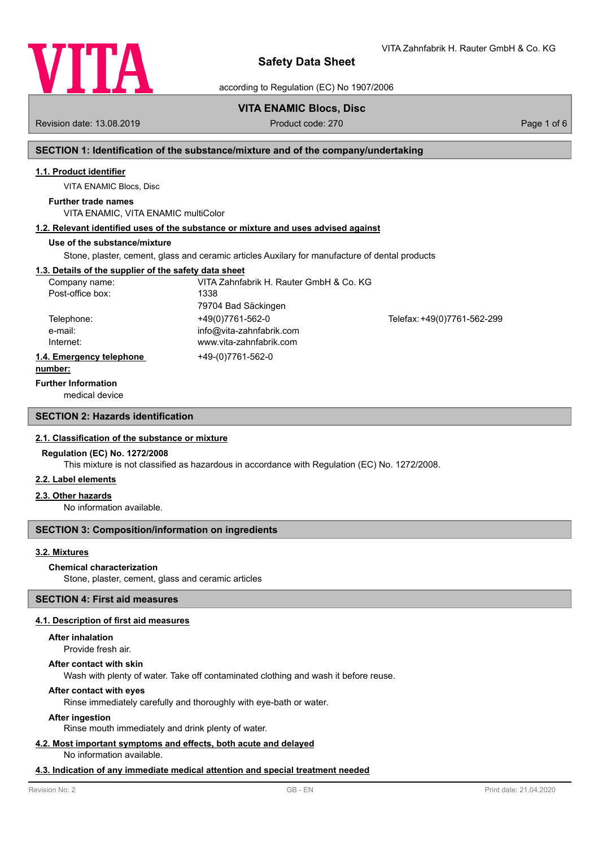

VITA Zahnfabrik H. Rauter GmbH & Co. KG

according to Regulation (EC) No 1907/2006

# **VITA ENAMIC Blocs, Disc**

Revision date: 13.08.2019 **Product code: 270** Product code: 270 **Page 1 of 6** Page 1 of 6

# **SECTION 1: Identification of the substance/mixture and of the company/undertaking**

## **1.1. Product identifier**

VITA ENAMIC Blocs, Disc

## **Further trade names**

VITA ENAMIC, VITA ENAMIC multiColor

# **1.2. Relevant identified uses of the substance or mixture and uses advised against**

## **Use of the substance/mixture**

Stone, plaster, cement, glass and ceramic articles Auxilary for manufacture of dental products

## **1.3. Details of the supplier of the safety data sheet**

| Company name:            | VITA Zahnfabrik H. Rauter GmbH & Co. KG |                             |
|--------------------------|-----------------------------------------|-----------------------------|
| Post-office box:         | 1338                                    |                             |
|                          | 79704 Bad Säckingen                     |                             |
| Telephone:               | +49(0)7761-562-0                        | Telefax: +49(0)7761-562-299 |
| e-mail:                  | info@vita-zahnfabrik.com                |                             |
| Internet:                | www.vita-zahnfabrik.com                 |                             |
| 1.4. Emergency telephone | +49-(0)7761-562-0                       |                             |
|                          |                                         |                             |

#### **number:**

### **Further Information**

medical device

## **SECTION 2: Hazards identification**

### **2.1. Classification of the substance or mixture**

## **Regulation (EC) No. 1272/2008**

This mixture is not classified as hazardous in accordance with Regulation (EC) No. 1272/2008.

### **2.2. Label elements**

### **2.3. Other hazards**

No information available.

## **SECTION 3: Composition/information on ingredients**

### **3.2. Mixtures**

### **Chemical characterization**

Stone, plaster, cement, glass and ceramic articles

### **SECTION 4: First aid measures**

### **4.1. Description of first aid measures**

### **After inhalation**

Provide fresh air.

### **After contact with skin**

Wash with plenty of water. Take off contaminated clothing and wash it before reuse.

## **After contact with eyes**

Rinse immediately carefully and thoroughly with eye-bath or water.

### **After ingestion**

Rinse mouth immediately and drink plenty of water.

## **4.2. Most important symptoms and effects, both acute and delayed**

No information available.

### **4.3. Indication of any immediate medical attention and special treatment needed**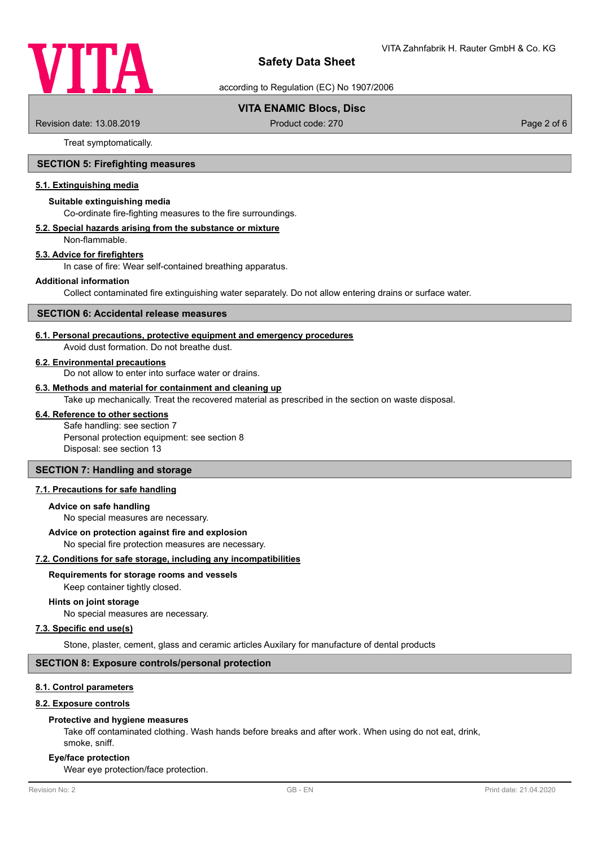

according to Regulation (EC) No 1907/2006

## **VITA ENAMIC Blocs, Disc**

Revision date: 13.08.2019 **Product code: 270** Product code: 270 **Page 2 of 6** Page 2 of 6

Treat symptomatically.

## **SECTION 5: Firefighting measures**

### **5.1. Extinguishing media**

#### **Suitable extinguishing media**

Co-ordinate fire-fighting measures to the fire surroundings.

#### **5.2. Special hazards arising from the substance or mixture**

Non-flammable.

### **5.3. Advice for firefighters**

In case of fire: Wear self-contained breathing apparatus.

#### **Additional information**

Collect contaminated fire extinguishing water separately. Do not allow entering drains or surface water.

### **SECTION 6: Accidental release measures**

#### **6.1. Personal precautions, protective equipment and emergency procedures**

Avoid dust formation. Do not breathe dust.

### **6.2. Environmental precautions**

Do not allow to enter into surface water or drains.

### **6.3. Methods and material for containment and cleaning up**

Take up mechanically. Treat the recovered material as prescribed in the section on waste disposal.

### **6.4. Reference to other sections**

Safe handling: see section 7 Personal protection equipment: see section 8 Disposal: see section 13

## **SECTION 7: Handling and storage**

## **7.1. Precautions for safe handling**

#### **Advice on safe handling**

No special measures are necessary.

#### **Advice on protection against fire and explosion**

No special fire protection measures are necessary.

#### **7.2. Conditions for safe storage, including any incompatibilities**

### **Requirements for storage rooms and vessels**

Keep container tightly closed.

#### **Hints on joint storage**

No special measures are necessary.

#### **7.3. Specific end use(s)**

Stone, plaster, cement, glass and ceramic articles Auxilary for manufacture of dental products

### **SECTION 8: Exposure controls/personal protection**

## **8.1. Control parameters**

#### **8.2. Exposure controls**

#### **Protective and hygiene measures**

Take off contaminated clothing. Wash hands before breaks and after work. When using do not eat, drink, smoke, sniff.

#### **Eye/face protection**

Wear eye protection/face protection.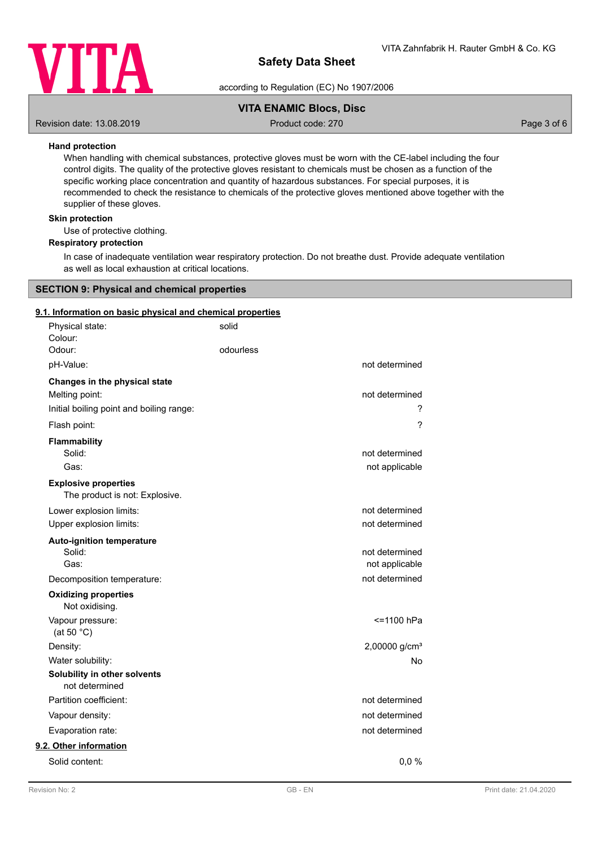

according to Regulation (EC) No 1907/2006

## **VITA ENAMIC Blocs, Disc**

Revision date: 13.08.2019 **Product code: 270** Product code: 270 **Page 3 of 6** Page 3 of 6

## **Hand protection**

When handling with chemical substances, protective gloves must be worn with the CE-label including the four control digits. The quality of the protective gloves resistant to chemicals must be chosen as a function of the specific working place concentration and quantity of hazardous substances. For special purposes, it is recommended to check the resistance to chemicals of the protective gloves mentioned above together with the supplier of these gloves.

### **Skin protection**

Use of protective clothing.

### **Respiratory protection**

In case of inadequate ventilation wear respiratory protection. Do not breathe dust. Provide adequate ventilation as well as local exhaustion at critical locations.

### **SECTION 9: Physical and chemical properties**

### **9.1. Information on basic physical and chemical properties**

| Physical state:<br>Colour:                                    | solid     |                           |
|---------------------------------------------------------------|-----------|---------------------------|
| Odour:                                                        | odourless |                           |
| pH-Value:                                                     |           | not determined            |
| Changes in the physical state                                 |           |                           |
| Melting point:                                                |           | not determined            |
| Initial boiling point and boiling range:                      |           | ?                         |
| Flash point:                                                  |           | $\overline{\phantom{0}}$  |
| Flammability                                                  |           |                           |
| Solid:                                                        |           | not determined            |
| Gas:                                                          |           | not applicable            |
| <b>Explosive properties</b><br>The product is not: Explosive. |           |                           |
| Lower explosion limits:                                       |           | not determined            |
| Upper explosion limits:                                       |           | not determined            |
| <b>Auto-ignition temperature</b>                              |           |                           |
| Solid:                                                        |           | not determined            |
| Gas:                                                          |           | not applicable            |
| Decomposition temperature:                                    |           | not determined            |
| <b>Oxidizing properties</b><br>Not oxidising.                 |           |                           |
| Vapour pressure:<br>(at 50 $°C$ )                             |           | <=1100 hPa                |
| Density:                                                      |           | 2,00000 g/cm <sup>3</sup> |
| Water solubility:                                             |           | No                        |
| Solubility in other solvents<br>not determined                |           |                           |
| Partition coefficient:                                        |           | not determined            |
| Vapour density:                                               |           | not determined            |
| Evaporation rate:                                             |           | not determined            |
| 9.2. Other information                                        |           |                           |
| Solid content:                                                |           | 0,0%                      |
|                                                               |           |                           |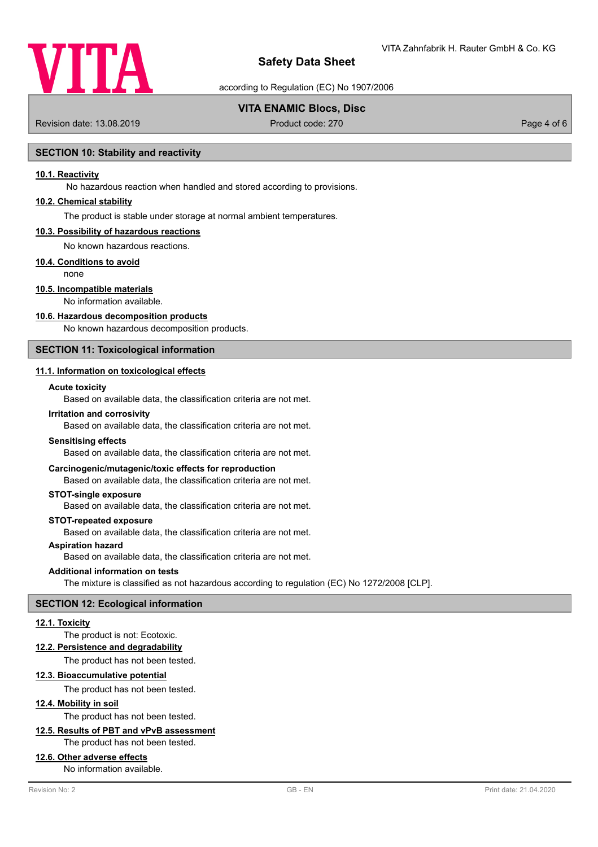

according to Regulation (EC) No 1907/2006

## **VITA ENAMIC Blocs, Disc**

Revision date: 13.08.2019 **Product code: 270** Product code: 270 **Page 4 of 6** Page 4 of 6

### **SECTION 10: Stability and reactivity**

### **10.1. Reactivity**

No hazardous reaction when handled and stored according to provisions.

### **10.2. Chemical stability**

The product is stable under storage at normal ambient temperatures.

#### **10.3. Possibility of hazardous reactions**

No known hazardous reactions.

### **10.4. Conditions to avoid**

none

## **10.5. Incompatible materials**

No information available.

#### **10.6. Hazardous decomposition products**

No known hazardous decomposition products.

## **SECTION 11: Toxicological information**

## **11.1. Information on toxicological effects**

### **Acute toxicity**

Based on available data, the classification criteria are not met.

#### **Irritation and corrosivity**

Based on available data, the classification criteria are not met.

#### **Sensitising effects**

Based on available data, the classification criteria are not met.

### **Carcinogenic/mutagenic/toxic effects for reproduction**

Based on available data, the classification criteria are not met.

#### **STOT-single exposure**

Based on available data, the classification criteria are not met.

#### **STOT-repeated exposure**

Based on available data, the classification criteria are not met.

## **Aspiration hazard**

Based on available data, the classification criteria are not met.

#### **Additional information on tests**

The mixture is classified as not hazardous according to regulation (EC) No 1272/2008 [CLP].

### **SECTION 12: Ecological information**

#### **12.1. Toxicity**

### The product is not: Ecotoxic.

**12.2. Persistence and degradability**

The product has not been tested.

### **12.3. Bioaccumulative potential**

The product has not been tested.

## **12.4. Mobility in soil**

The product has not been tested.

## **12.5. Results of PBT and vPvB assessment**

The product has not been tested.

### **12.6. Other adverse effects**

No information available.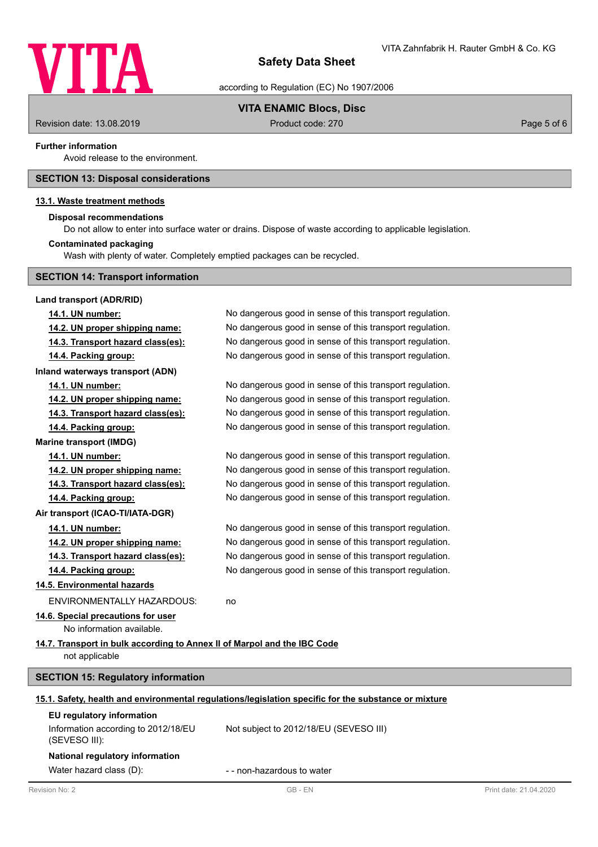

according to Regulation (EC) No 1907/2006

## **VITA ENAMIC Blocs, Disc**

Revision date: 13.08.2019 **Product code: 270** Product code: 270 **Page 5 of 6** Page 5 of 6

### **Further information**

Avoid release to the environment.

## **SECTION 13: Disposal considerations**

### **13.1. Waste treatment methods**

### **Disposal recommendations**

Do not allow to enter into surface water or drains. Dispose of waste according to applicable legislation.

### **Contaminated packaging**

Wash with plenty of water. Completely emptied packages can be recycled.

|  |  |  |  | <b>SECTION 14: Transport information</b> |
|--|--|--|--|------------------------------------------|
|--|--|--|--|------------------------------------------|

| Land transport (ADR/RID)                                                 |                                                                                                      |                        |
|--------------------------------------------------------------------------|------------------------------------------------------------------------------------------------------|------------------------|
| 14.1. UN number:                                                         | No dangerous good in sense of this transport regulation.                                             |                        |
| 14.2. UN proper shipping name:                                           | No dangerous good in sense of this transport regulation.                                             |                        |
| 14.3. Transport hazard class(es):                                        | No dangerous good in sense of this transport regulation.                                             |                        |
| 14.4. Packing group:                                                     | No dangerous good in sense of this transport regulation.                                             |                        |
| Inland waterways transport (ADN)                                         |                                                                                                      |                        |
| 14.1. UN number:                                                         | No dangerous good in sense of this transport regulation.                                             |                        |
| 14.2. UN proper shipping name:                                           | No dangerous good in sense of this transport regulation.                                             |                        |
| 14.3. Transport hazard class(es):                                        | No dangerous good in sense of this transport regulation.                                             |                        |
| 14.4. Packing group:                                                     | No dangerous good in sense of this transport regulation.                                             |                        |
| <b>Marine transport (IMDG)</b>                                           |                                                                                                      |                        |
| 14.1. UN number:                                                         | No dangerous good in sense of this transport regulation.                                             |                        |
| 14.2. UN proper shipping name:                                           | No dangerous good in sense of this transport regulation.                                             |                        |
| 14.3. Transport hazard class(es):                                        | No dangerous good in sense of this transport regulation.                                             |                        |
| 14.4. Packing group:                                                     | No dangerous good in sense of this transport regulation.                                             |                        |
| Air transport (ICAO-TI/IATA-DGR)                                         |                                                                                                      |                        |
| 14.1. UN number:                                                         | No dangerous good in sense of this transport regulation.                                             |                        |
| 14.2. UN proper shipping name:                                           | No dangerous good in sense of this transport regulation.                                             |                        |
| 14.3. Transport hazard class(es):                                        | No dangerous good in sense of this transport regulation.                                             |                        |
| 14.4. Packing group:                                                     | No dangerous good in sense of this transport regulation.                                             |                        |
| 14.5. Environmental hazards                                              |                                                                                                      |                        |
| <b>ENVIRONMENTALLY HAZARDOUS:</b>                                        | no                                                                                                   |                        |
| 14.6. Special precautions for user                                       |                                                                                                      |                        |
| No information available.                                                |                                                                                                      |                        |
| 14.7. Transport in bulk according to Annex II of Marpol and the IBC Code |                                                                                                      |                        |
| not applicable                                                           |                                                                                                      |                        |
| <b>SECTION 15: Regulatory information</b>                                |                                                                                                      |                        |
|                                                                          | 15.1. Safety, health and environmental regulations/legislation specific for the substance or mixture |                        |
| EU regulatory information                                                |                                                                                                      |                        |
| Information according to 2012/18/EU<br>(SEVESO III):                     | Not subject to 2012/18/EU (SEVESO III)                                                               |                        |
| National regulatory information                                          |                                                                                                      |                        |
| Water hazard class (D):                                                  | - - non-hazardous to water                                                                           |                        |
| Revision No: 2                                                           | GB-EN                                                                                                | Print date: 21.04.2020 |